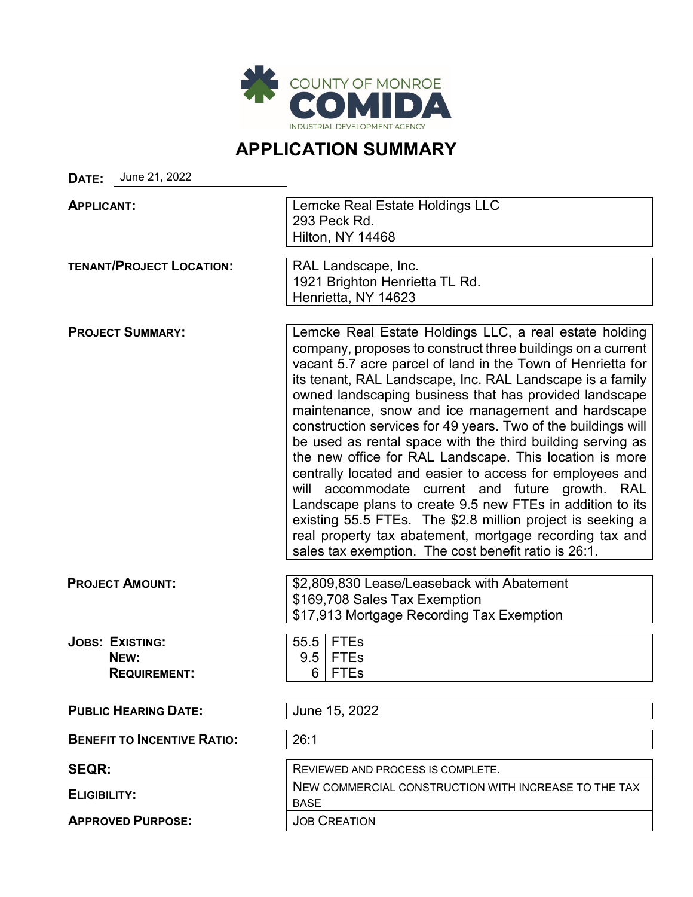

## **APPLICATION SUMMARY**

**DATE:** June 21, 2022

| <b>APPLICANT:</b>                                     | Lemcke Real Estate Holdings LLC<br>293 Peck Rd.<br><b>Hilton, NY 14468</b>                                                                                                                                                                                                                                                                                                                                                                                                                                                                                                                                                                                                                                                                                                                                                                                                                                               |
|-------------------------------------------------------|--------------------------------------------------------------------------------------------------------------------------------------------------------------------------------------------------------------------------------------------------------------------------------------------------------------------------------------------------------------------------------------------------------------------------------------------------------------------------------------------------------------------------------------------------------------------------------------------------------------------------------------------------------------------------------------------------------------------------------------------------------------------------------------------------------------------------------------------------------------------------------------------------------------------------|
| <b>TENANT/PROJECT LOCATION:</b>                       | RAL Landscape, Inc.<br>1921 Brighton Henrietta TL Rd.<br>Henrietta, NY 14623                                                                                                                                                                                                                                                                                                                                                                                                                                                                                                                                                                                                                                                                                                                                                                                                                                             |
| <b>PROJECT SUMMARY:</b>                               | Lemcke Real Estate Holdings LLC, a real estate holding<br>company, proposes to construct three buildings on a current<br>vacant 5.7 acre parcel of land in the Town of Henrietta for<br>its tenant, RAL Landscape, Inc. RAL Landscape is a family<br>owned landscaping business that has provided landscape<br>maintenance, snow and ice management and hardscape<br>construction services for 49 years. Two of the buildings will<br>be used as rental space with the third building serving as<br>the new office for RAL Landscape. This location is more<br>centrally located and easier to access for employees and<br>will accommodate current and future growth. RAL<br>Landscape plans to create 9.5 new FTEs in addition to its<br>existing 55.5 FTEs. The \$2.8 million project is seeking a<br>real property tax abatement, mortgage recording tax and<br>sales tax exemption. The cost benefit ratio is 26:1. |
| <b>PROJECT AMOUNT:</b>                                | \$2,809,830 Lease/Leaseback with Abatement<br>\$169,708 Sales Tax Exemption<br>\$17,913 Mortgage Recording Tax Exemption                                                                                                                                                                                                                                                                                                                                                                                                                                                                                                                                                                                                                                                                                                                                                                                                 |
| <b>JOBS: EXISTING:</b><br>NEW:<br><b>REQUIREMENT:</b> | <b>FTEs</b><br>55.5<br><b>FTEs</b><br>9.5<br><b>FTEs</b><br>6                                                                                                                                                                                                                                                                                                                                                                                                                                                                                                                                                                                                                                                                                                                                                                                                                                                            |
| <b>PUBLIC HEARING DATE:</b>                           | June 15, 2022                                                                                                                                                                                                                                                                                                                                                                                                                                                                                                                                                                                                                                                                                                                                                                                                                                                                                                            |
| <b>BENEFIT TO INCENTIVE RATIO:</b>                    | 26:1                                                                                                                                                                                                                                                                                                                                                                                                                                                                                                                                                                                                                                                                                                                                                                                                                                                                                                                     |
| <b>SEQR:</b>                                          | REVIEWED AND PROCESS IS COMPLETE.                                                                                                                                                                                                                                                                                                                                                                                                                                                                                                                                                                                                                                                                                                                                                                                                                                                                                        |
| <b>ELIGIBILITY:</b>                                   | NEW COMMERCIAL CONSTRUCTION WITH INCREASE TO THE TAX<br><b>BASE</b>                                                                                                                                                                                                                                                                                                                                                                                                                                                                                                                                                                                                                                                                                                                                                                                                                                                      |
| <b>APPROVED PURPOSE:</b>                              | <b>JOB CREATION</b>                                                                                                                                                                                                                                                                                                                                                                                                                                                                                                                                                                                                                                                                                                                                                                                                                                                                                                      |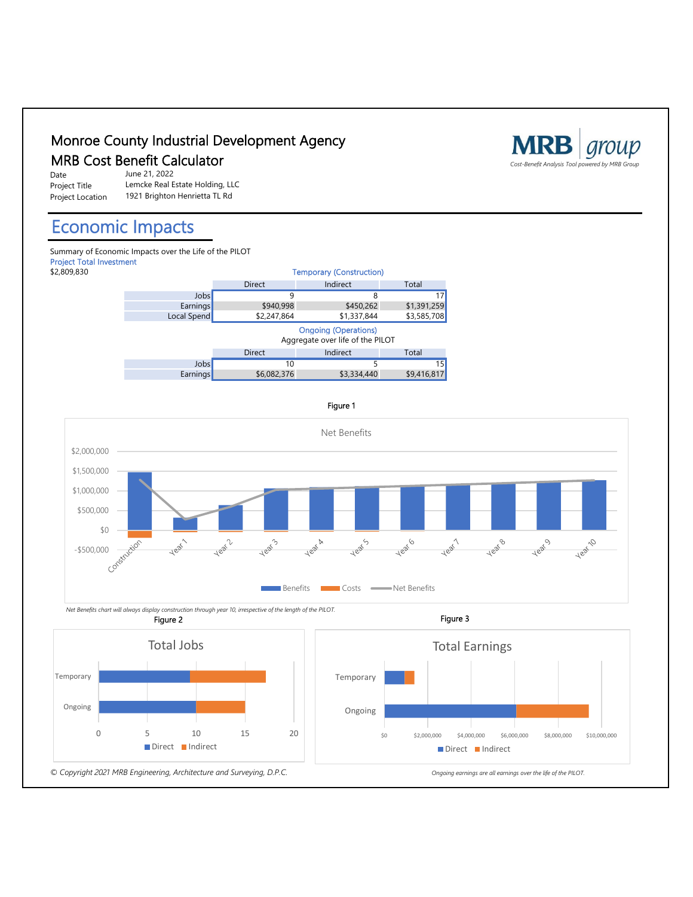

## Direct Indirect

*© Copyright 2021 MRB Engineering, Architecture and Surveying, D.P.C. Ongoing earnings are all earnings over the life of the PILOT.*

0 5 10 15 20

 $\begin{array}{cccc} \xi 0 \end{array} \qquad \qquad \begin{array}{cccc} \xi 2,000,000 \end{array} \qquad \begin{array}{cccc} \xi 4,000,000 \end{array} \qquad \begin{array}{cccc} \xi 6,000,000 \end{array} \qquad \begin{array}{cccc} \xi 8,000,000 \end{array} \qquad \begin{array}{cccc} \xi 10,000,000 \end{array}$ 

Direct Indirect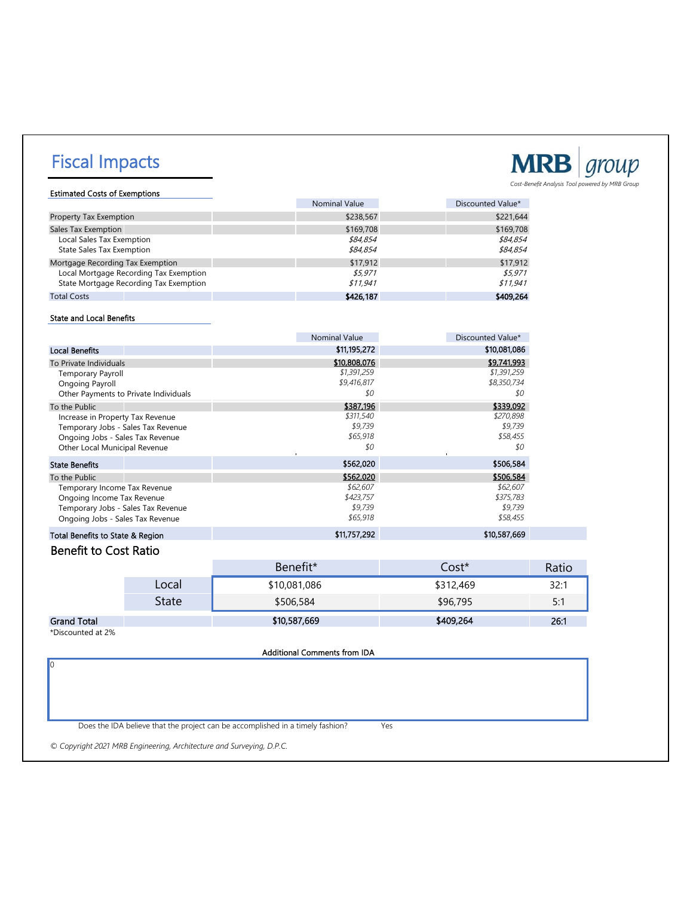# Fiscal Impacts



Estimated Costs of Exemptions Nominal Value **Discounted Value\*** Property Tax Exemption  $$238,567$   $$221,644$ Sales Tax Exemption \$169,708 \$169,708 \$169,708 \$169,708 \$169,708 \$169,708 \$169,708 \$169,708 \$169,708 \$169,708 \$169,708 \$169,708 \$169,708 \$169,708 \$169,708 \$169,708 \$169,708 \$169,708 \$169,708 \$169,708 \$169,854 \$169,854 \$169 Local Sales Tax Exemption 584,854 \$84,854 \$84,854 \$84,854 \$84,854 \$84,854 \$84,854 \$84,854 \$84,854 \$84,854 \$84,854 \$84,854 \$84,854 \$84,854 \$84,854 \$84,854 \$84,854 \$84,854 \$84,854 \$84,854 \$84,854 \$84,854 \$84,854 \$84,854 \$84, State Sales Tax Exemption Mortgage Recording Tax Exemption **\$17,912** \$17,912 \$17,912 \$17,912 \$17,912 \$17,912 \$17,912 \$17,912 \$17,912 \$17,912 \$17,912 \$17,912 \$17,912 \$17,912 \$5.971 \$5.971 \$5.971 \$5.971 \$5.971 \$5.971 \$5.971 \$5.971 \$5.971 \$5.971 \$5.97 Local Mortgage Recording Tax Exemption<br>
State Mortgage Recording Tax Exemption<br>
\$11,941 \$11,941 \$11,941 State Mortgage Recording Tax Exemption

Total Costs **\$409,264** \$409,264 \$409,264 \$426,187 \$426,187 \$409,264 \$409,264 \$409,264 \$409,264 \$409,264 \$409,264

#### State and Local Benefits

|                                       | <b>Nominal Value</b> | Discounted Value* |
|---------------------------------------|----------------------|-------------------|
| <b>Local Benefits</b>                 | \$11,195,272         | \$10,081,086      |
| To Private Individuals                | \$10,808,076         | \$9,741,993       |
| <b>Temporary Payroll</b>              | \$1,391,259          | \$1,391,259       |
| Ongoing Payroll                       | \$9,416,817          | \$8,350,734       |
| Other Payments to Private Individuals | \$0                  | \$0               |
| To the Public                         | \$387,196            | \$339,092         |
| Increase in Property Tax Revenue      | \$311,540            | \$270,898         |
| Temporary Jobs - Sales Tax Revenue    | \$9,739              | \$9,739           |
| Ongoing Jobs - Sales Tax Revenue      | \$65,918             | \$58,455          |
| Other Local Municipal Revenue         | \$0                  | \$0               |
| <b>State Benefits</b>                 | \$562,020            | \$506,584         |
| To the Public                         | \$562,020            | \$506,584         |
| Temporary Income Tax Revenue          | \$62,607             | \$62,607          |
| Ongoing Income Tax Revenue            | \$423,757            | \$375,783         |
| Temporary Jobs - Sales Tax Revenue    | \$9,739              | \$9,739           |
| Ongoing Jobs - Sales Tax Revenue      | \$65,918             | \$58,455          |
| Total Benefits to State & Region      | \$11,757,292         | \$10,587,669      |

### Benefit to Cost Ratio

|                    |       | Benefit*     | Cost*     | Ratio      |
|--------------------|-------|--------------|-----------|------------|
|                    | Local | \$10,081,086 | \$312,469 | 32:1       |
|                    | State | \$506,584    | \$96,795  | ς.,<br>J., |
| <b>Grand Total</b> |       | \$10,587,669 | \$409,264 | 26:1       |

\*Discounted at 2%

0

Additional Comments from IDA

Does the IDA believe that the project can be accomplished in a timely fashion? Yes

*© Copyright 2021 MRB Engineering, Architecture and Surveying, D.P.C.*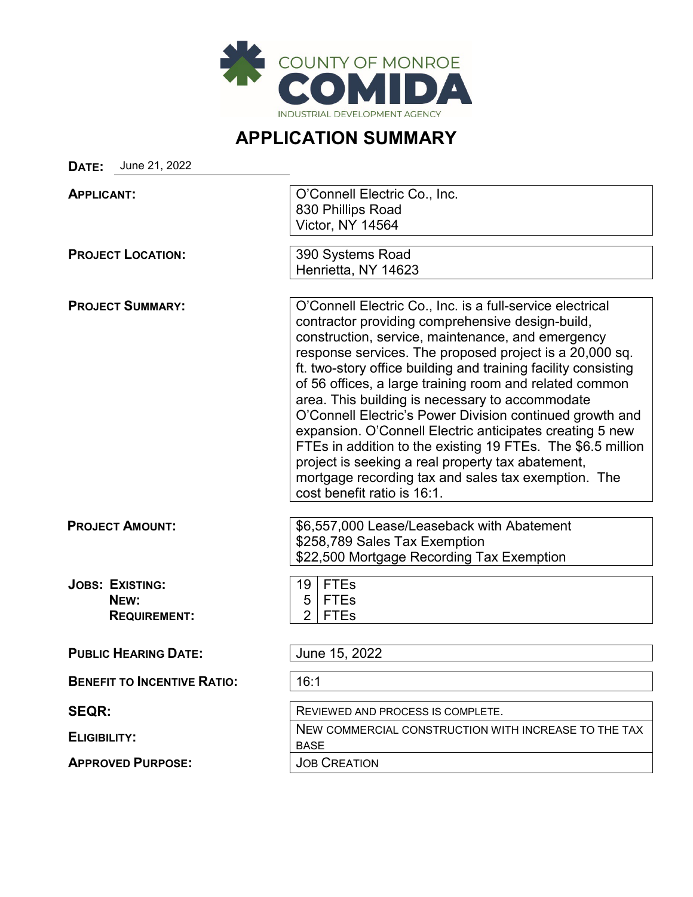

### **APPLICATION SUMMARY**

**DATE:** June 21, 2022

| <b>APPLICANT:</b>                  | O'Connell Electric Co., Inc.                                                                                              |  |  |
|------------------------------------|---------------------------------------------------------------------------------------------------------------------------|--|--|
|                                    | 830 Phillips Road                                                                                                         |  |  |
|                                    | Victor, NY 14564                                                                                                          |  |  |
| <b>PROJECT LOCATION:</b>           | 390 Systems Road                                                                                                          |  |  |
|                                    | Henrietta, NY 14623                                                                                                       |  |  |
|                                    |                                                                                                                           |  |  |
| <b>PROJECT SUMMARY:</b>            | O'Connell Electric Co., Inc. is a full-service electrical<br>contractor providing comprehensive design-build,             |  |  |
|                                    | construction, service, maintenance, and emergency                                                                         |  |  |
|                                    | response services. The proposed project is a 20,000 sq.<br>ft. two-story office building and training facility consisting |  |  |
|                                    | of 56 offices, a large training room and related common                                                                   |  |  |
|                                    | area. This building is necessary to accommodate                                                                           |  |  |
|                                    | O'Connell Electric's Power Division continued growth and                                                                  |  |  |
|                                    | expansion. O'Connell Electric anticipates creating 5 new                                                                  |  |  |
|                                    | FTEs in addition to the existing 19 FTEs. The \$6.5 million                                                               |  |  |
|                                    | project is seeking a real property tax abatement,<br>mortgage recording tax and sales tax exemption. The                  |  |  |
|                                    | cost benefit ratio is 16:1.                                                                                               |  |  |
|                                    |                                                                                                                           |  |  |
| <b>PROJECT AMOUNT:</b>             | \$6,557,000 Lease/Leaseback with Abatement                                                                                |  |  |
|                                    | \$258,789 Sales Tax Exemption                                                                                             |  |  |
|                                    | \$22,500 Mortgage Recording Tax Exemption                                                                                 |  |  |
| <b>JOBS: EXISTING:</b>             | <b>FTEs</b><br>19                                                                                                         |  |  |
| NEW:                               | 5<br><b>FTEs</b>                                                                                                          |  |  |
| <b>REQUIREMENT:</b>                | $\overline{2}$<br><b>FTEs</b>                                                                                             |  |  |
|                                    |                                                                                                                           |  |  |
| <b>PUBLIC HEARING DATE:</b>        | June 15, 2022                                                                                                             |  |  |
| <b>BENEFIT TO INCENTIVE RATIO:</b> | 16:1                                                                                                                      |  |  |
| <b>SEQR:</b>                       | REVIEWED AND PROCESS IS COMPLETE.                                                                                         |  |  |
| <b>ELIGIBILITY:</b>                | NEW COMMERCIAL CONSTRUCTION WITH INCREASE TO THE TAX                                                                      |  |  |
|                                    | <b>BASE</b>                                                                                                               |  |  |
| <b>APPROVED PURPOSE:</b>           | <b>JOB CREATION</b>                                                                                                       |  |  |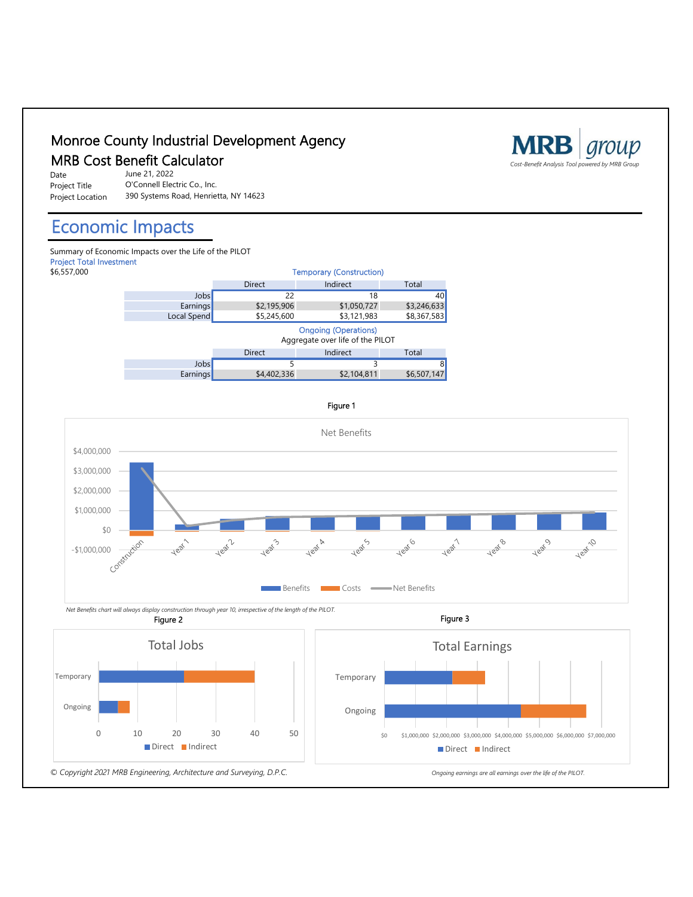

0 10 20 30 40 50 Ongoing Direct Indirect

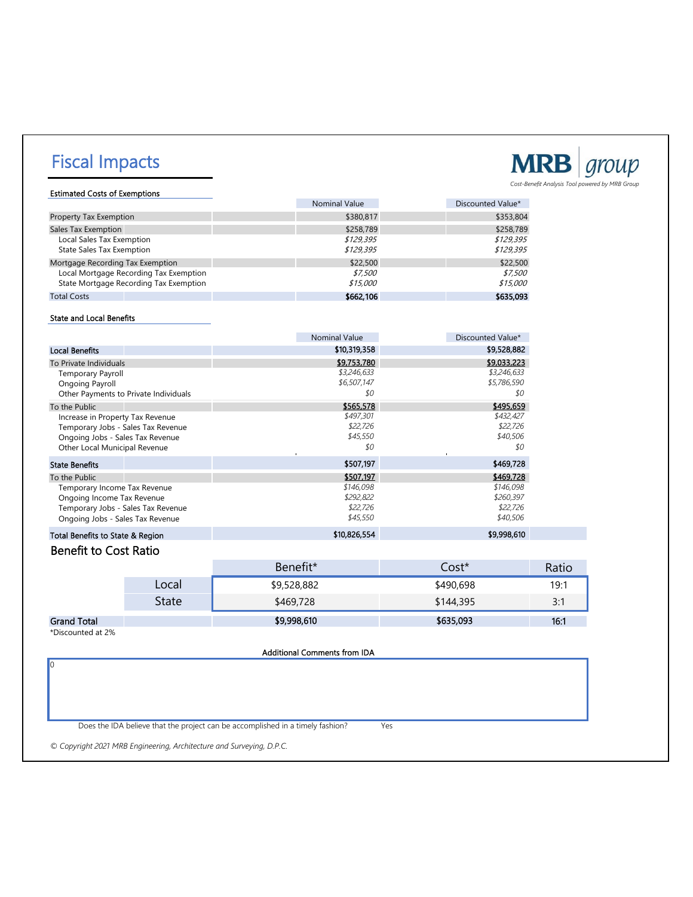# Fiscal Impacts



Estimated Costs of Exemptions Nominal Value **Discounted Value Discounted Value No. 1** 

| <b>Property Tax Exemption</b>          | \$380.817 | \$353,804 |
|----------------------------------------|-----------|-----------|
| Sales Tax Exemption                    | \$258,789 | \$258,789 |
| <b>Local Sales Tax Exemption</b>       | \$129.395 | \$129.395 |
| <b>State Sales Tax Exemption</b>       | \$129.395 | \$129.395 |
| Mortgage Recording Tax Exemption       | \$22,500  | \$22,500  |
| Local Mortgage Recording Tax Exemption | \$7.500   | \$7.500   |
| State Mortgage Recording Tax Exemption | \$15,000  | \$15,000  |
| <b>Total Costs</b>                     | \$662,106 | \$635,093 |

#### State and Local Benefits

|                                       | <b>Nominal Value</b>  | Discounted Value* |
|---------------------------------------|-----------------------|-------------------|
| <b>Local Benefits</b>                 | \$10,319,358          | \$9,528,882       |
| To Private Individuals                | \$9,753,780           | \$9,033,223       |
| <b>Temporary Payroll</b>              | \$3,246,633           | \$3,246,633       |
| Ongoing Payroll                       | \$6,507,147           | \$5,786,590       |
| Other Payments to Private Individuals | \$0                   | 80                |
| To the Public                         | \$565,578             | \$495,659         |
| Increase in Property Tax Revenue      | \$497,301             | \$432,427         |
| Temporary Jobs - Sales Tax Revenue    | \$22,726              | \$22,726          |
| Ongoing Jobs - Sales Tax Revenue      | \$45,550              | \$40,506          |
| Other Local Municipal Revenue         | \$0<br>$\blacksquare$ | \$0               |
| <b>State Benefits</b>                 | \$507,197             | \$469,728         |
| To the Public                         | \$507,197             | \$469,728         |
| Temporary Income Tax Revenue          | \$146,098             | \$146,098         |
| Ongoing Income Tax Revenue            | \$292,822             | \$260,397         |
| Temporary Jobs - Sales Tax Revenue    | \$22,726              | \$22,726          |
| Ongoing Jobs - Sales Tax Revenue      | \$45,550              | \$40,506          |
| Total Benefits to State & Region      | \$10,826,554          | \$9,998,610       |

### Benefit to Cost Ratio

|                    |       | Benefit*    | Cost*     | Ratio                 |
|--------------------|-------|-------------|-----------|-----------------------|
|                    | Local | \$9,528,882 | \$490,698 | 19:1                  |
|                    | State | \$469,728   | \$144,395 | <b>ے۔</b><br><u>.</u> |
| <b>Grand Total</b> |       | \$9,998,610 | \$635,093 | 16:1                  |

\*Discounted at 2%

0

Additional Comments from IDA

Does the IDA believe that the project can be accomplished in a timely fashion? Yes

*© Copyright 2021 MRB Engineering, Architecture and Surveying, D.P.C.*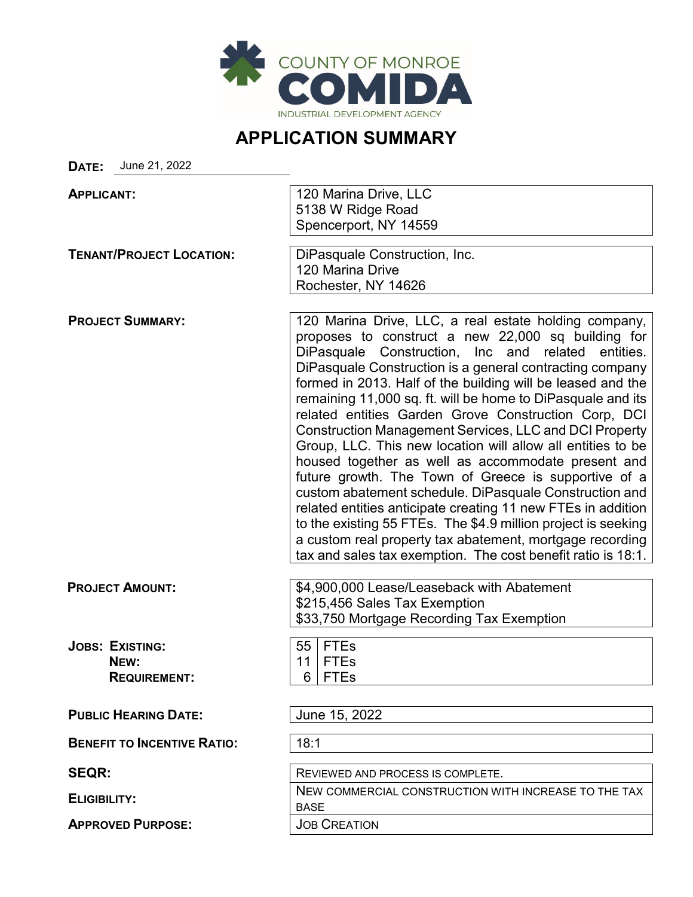

### **APPLICATION SUMMARY**

**DATE:** June 21, 2022

| <b>APPLICANT:</b>                                     | 120 Marina Drive, LLC<br>5138 W Ridge Road<br>Spencerport, NY 14559                                                                                                                                                                                                                                                                                                                                                                                                                                                                                                                                                                                                                                                                                                                                                                                                                                                                                                                         |
|-------------------------------------------------------|---------------------------------------------------------------------------------------------------------------------------------------------------------------------------------------------------------------------------------------------------------------------------------------------------------------------------------------------------------------------------------------------------------------------------------------------------------------------------------------------------------------------------------------------------------------------------------------------------------------------------------------------------------------------------------------------------------------------------------------------------------------------------------------------------------------------------------------------------------------------------------------------------------------------------------------------------------------------------------------------|
| <b>TENANT/PROJECT LOCATION:</b>                       | DiPasquale Construction, Inc.<br>120 Marina Drive<br>Rochester, NY 14626                                                                                                                                                                                                                                                                                                                                                                                                                                                                                                                                                                                                                                                                                                                                                                                                                                                                                                                    |
| <b>PROJECT SUMMARY:</b>                               | 120 Marina Drive, LLC, a real estate holding company,<br>proposes to construct a new 22,000 sq building for<br>DiPasquale Construction, Inc and related<br>entities.<br>DiPasquale Construction is a general contracting company<br>formed in 2013. Half of the building will be leased and the<br>remaining 11,000 sq. ft. will be home to DiPasquale and its<br>related entities Garden Grove Construction Corp, DCI<br><b>Construction Management Services, LLC and DCI Property</b><br>Group, LLC. This new location will allow all entities to be<br>housed together as well as accommodate present and<br>future growth. The Town of Greece is supportive of a<br>custom abatement schedule. DiPasquale Construction and<br>related entities anticipate creating 11 new FTEs in addition<br>to the existing 55 FTEs. The \$4.9 million project is seeking<br>a custom real property tax abatement, mortgage recording<br>tax and sales tax exemption. The cost benefit ratio is 18:1. |
| <b>PROJECT AMOUNT:</b>                                | \$4,900,000 Lease/Leaseback with Abatement<br>\$215,456 Sales Tax Exemption<br>\$33,750 Mortgage Recording Tax Exemption                                                                                                                                                                                                                                                                                                                                                                                                                                                                                                                                                                                                                                                                                                                                                                                                                                                                    |
| <b>JOBS: EXISTING:</b><br>NEW:<br><b>REQUIREMENT:</b> | FTEs<br>55<br><b>FTEs</b><br>11<br><b>FTEs</b><br>6                                                                                                                                                                                                                                                                                                                                                                                                                                                                                                                                                                                                                                                                                                                                                                                                                                                                                                                                         |
| <b>PUBLIC HEARING DATE:</b>                           | June 15, 2022                                                                                                                                                                                                                                                                                                                                                                                                                                                                                                                                                                                                                                                                                                                                                                                                                                                                                                                                                                               |
| <b>BENEFIT TO INCENTIVE RATIO:</b>                    | 18:1                                                                                                                                                                                                                                                                                                                                                                                                                                                                                                                                                                                                                                                                                                                                                                                                                                                                                                                                                                                        |
| <b>SEQR:</b>                                          | REVIEWED AND PROCESS IS COMPLETE.                                                                                                                                                                                                                                                                                                                                                                                                                                                                                                                                                                                                                                                                                                                                                                                                                                                                                                                                                           |
| <b>ELIGIBILITY:</b>                                   | NEW COMMERCIAL CONSTRUCTION WITH INCREASE TO THE TAX<br><b>BASE</b>                                                                                                                                                                                                                                                                                                                                                                                                                                                                                                                                                                                                                                                                                                                                                                                                                                                                                                                         |
| <b>APPROVED PURPOSE:</b>                              | <b>JOB CREATION</b>                                                                                                                                                                                                                                                                                                                                                                                                                                                                                                                                                                                                                                                                                                                                                                                                                                                                                                                                                                         |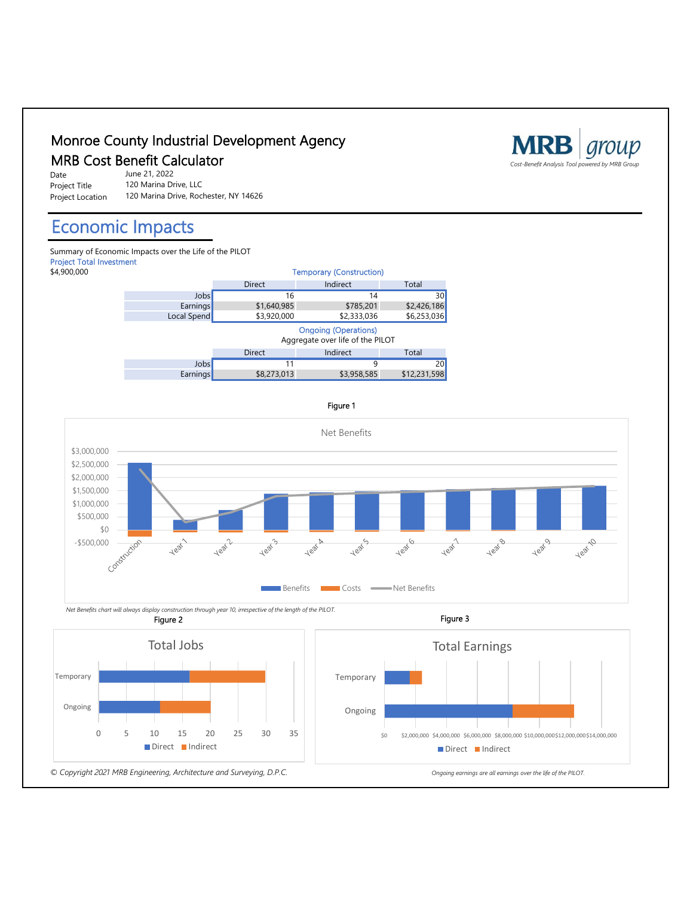

Ongoing

*© Copyright 2021 MRB Engineering, Architecture and Surveying, D.P.C. Ongoing earnings are all earnings over the life of the PILOT.*

Direct Indirect

Ongoing

0 5 10 15 20 25 30 35

 $$0$  \$2,000,000 \$4,000,000 \$6,000,000 \$8,000,000 \$10,000,000\$12,000,000\$14,000,000

Direct Indirect